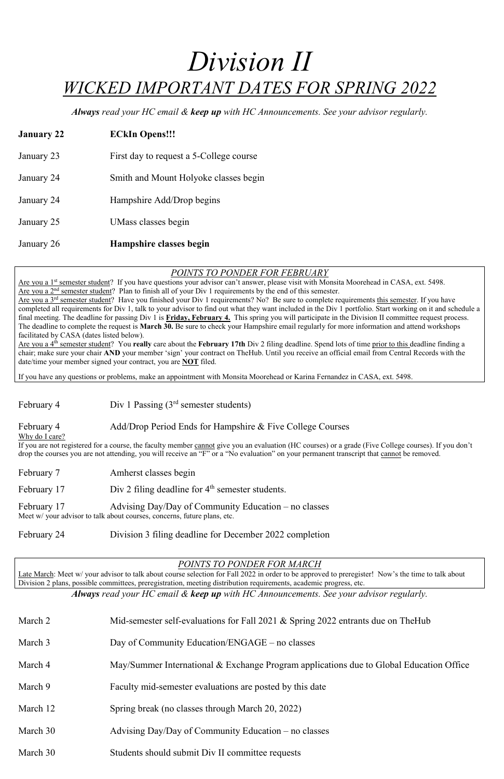# *Division II WICKED IMPORTANT DATES FOR SPRING 2022*

*Always read your HC email & keep up with HC Announcements. See your advisor regularly.*

| <b>January 22</b> | <b>ECkIn Opens!!!</b>                   |
|-------------------|-----------------------------------------|
| January 23        | First day to request a 5-College course |
| January 24        | Smith and Mount Holyoke classes begin   |
| January 24        | Hampshire Add/Drop begins               |
| January 25        | UMass classes begin                     |
| January 26        | Hampshire classes begin                 |

## *POINTS TO PONDER FOR FEBRUARY*

Are you a 1<sup>st</sup> semester student? If you have questions your advisor can't answer, please visit with Monsita Moorehead in CASA, ext. 5498. Are you a 2<sup>nd</sup> semester student? Plan to finish all of your Div 1 requirements by the end of this semester.

Are you a 3<sup>rd</sup> semester student? Have you finished your Div 1 requirements? No? Be sure to complete requirements this semester. If you have completed all requirements for Div 1, talk to your advisor to find out what they want included in the Div 1 portfolio. Start working on it and schedule a final meeting. The deadline for passing Div 1 is **Friday, February 4.** This spring you will participate in the Division II committee request process. The deadline to complete the request is **March 30.** Be sure to check your Hampshire email regularly for more information and attend workshops facilitated by CASA (dates listed below).

Are you a 4<sup>th</sup> semester student? You **really** care about the **February 17th** Div 2 filing deadline. Spend lots of time prior to this deadline finding a chair; make sure your chair **AND** your member 'sign' your contract on TheHub. Until you receive an official email from Central Records with the date/time your member signed your contract, you are **NOT** filed.

February 17 Advising Day/Day of Community Education – no classes Meet w/ your advisor to talk about courses, concerns, future plans, etc.

Late March: Meet w/ your advisor to talk about course selection for Fall 2022 in order to be approved to preregister! Now's the time to talk about Division 2 plans, possible committees, preregistration, meeting distribution requirements, academic progress, etc.

If you have any questions or problems, make an appointment with Monsita Moorehead or Karina Fernandez in CASA, ext. 5498.

February 4 Div 1 Passing (3<sup>rd</sup> semester students)

February 4 Add/Drop Period Ends for Hampshire & Five College Courses

#### Why do I care?

If you are not registered for a course, the faculty member cannot give you an evaluation (HC courses) or a grade (Five College courses). If you don't drop the courses you are not attending, you will receive an "F" or a "No evaluation" on your permanent transcript that cannot be removed.

February 7 Amherst classes begin

February 17  $Div 2$  filing deadline for  $4<sup>th</sup>$  semester students.

February 24 Division 3 filing deadline for December 2022 completion

*POINTS TO PONDER FOR MARCH*

*Always read your HC email & keep up with HC Announcements. See your advisor regularly.*

March 2 Mid-semester self-evaluations for Fall 2021 & Spring 2022 entrants due on TheHub

March 3 Day of Community Education/ENGAGE – no classes

March 4 May/Summer International & Exchange Program applications due to Global Education Office

March 9 Faculty mid-semester evaluations are posted by this date

March 12 Spring break (no classes through March 20, 2022)

March 30  $\mu$  Advising Day/Day of Community Education – no classes

March 30 Students should submit Div II committee requests